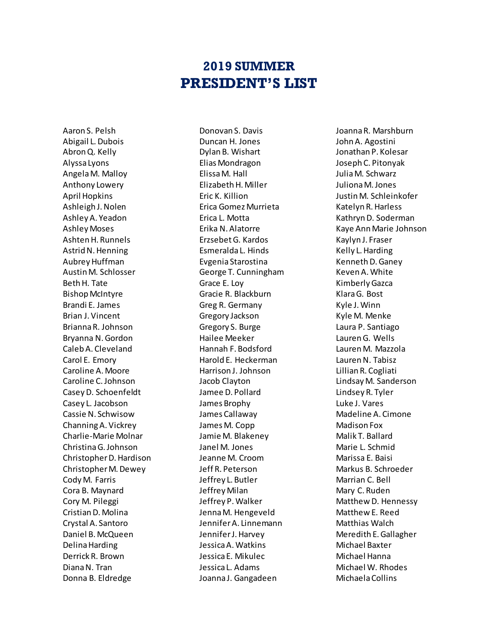## **2019 SUMMER PRESIDENT'S LIST**

Aaron S. Pelsh Abigail L. Dubois Abron Q. Kelly Alyssa Lyons Angela M. Malloy Anthony Lowery April Hopkins Ashleigh J. Nolen Ashley A. Yeadon Ashley Moses Ashten H. Runnels Astrid N. Henning Aubrey Huffman Austin M. Schlosser Beth H. Tate Bishop McIntyre Brandi E. James Brian J. Vincent Brianna R. Johnson Bryanna N. Gordon Caleb A. Cleveland Carol E. Emory Caroline A. Moore Caroline C. Johnson Casey D. Schoenfeldt Casey L. Jacobson Cassie N. Schwisow Channing A. Vickrey Charlie-Marie Molnar Christina G. Johnson Christopher D. Hardison Christopher M. Dewey Cody M. Farris Cora B. Maynard Cory M. Pileggi Cristian D. Molina Crystal A. Santoro Daniel B. McQueen Delina Harding Derrick R. Brown Diana N. Tran Donna B. Eldredge

Donovan S. Davis Duncan H. Jones Dylan B. Wishart Elias Mondragon Elissa M. Hall Elizabeth H. Miller Eric K. Killion Erica Gomez Murrieta Erica L. Motta Erika N. Alatorre Erzsebet G. Kardos Esmeralda L. Hinds Evgenia Starostina George T. Cunningham Grace E. Loy Gracie R. Blackburn Greg R. Germany Gregory Jackson Gregory S. Burge Hailee Meeker Hannah F. Bodsford Harold E. Heckerman Harrison J. Johnson Jacob Clayton Jamee D. Pollard James Brophy James Callaway James M. Copp Jamie M. Blakeney Janel M. Jones Jeanne M. Croom Jeff R. Peterson Jeffrey L. Butler Jeffrey Milan Jeffrey P. Walker Jenna M. Hengeveld Jennifer A. Linnemann Jennifer J. Harvey Jessica A. Watkins Jessica E. Mikulec Jessica L. Adams Joanna J. Gangadeen

Joanna R. Marshburn John A. Agostini Jonathan P. Kolesar Joseph C. Pitonyak Julia M. Schwarz Juliona M. Jones Justin M. Schleinkofer Katelyn R. Harless Kathryn D. Soderman Kaye Ann Marie Johnson Kaylyn J. Fraser Kelly L. Harding Kenneth D. Ganey Keven A. White Kimberly Gazca Klara G. Bost Kyle J. Winn Kyle M. Menke Laura P. Santiago Lauren G. Wells Lauren M. Mazzola Lauren N. Tabisz Lillian R. Cogliati Lindsay M. Sanderson Lindsey R. Tyler Luke J. Vares Madeline A. Cimone Madison Fox Malik T. Ballard Marie L. Schmid Marissa E. Baisi Markus B. Schroeder Marrian C. Bell Mary C. Ruden Matthew D. Hennessy Matthew E. Reed Matthias Walch Meredith E. Gallagher Michael Baxter Michael Hanna Michael W. Rhodes Michaela Collins